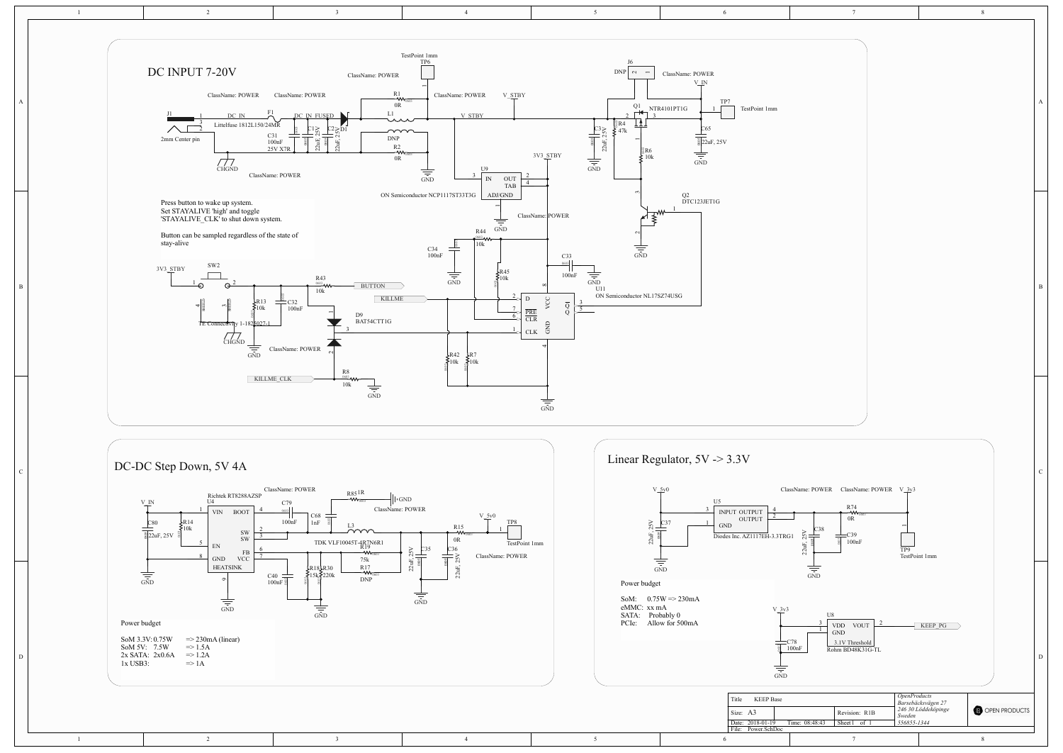

| Title    | <b>KEEP</b> Base   |  |
|----------|--------------------|--|
| Size: A3 |                    |  |
|          | Date: 2018-01-19   |  |
|          | File: Power.SchDoc |  |
|          |                    |  |



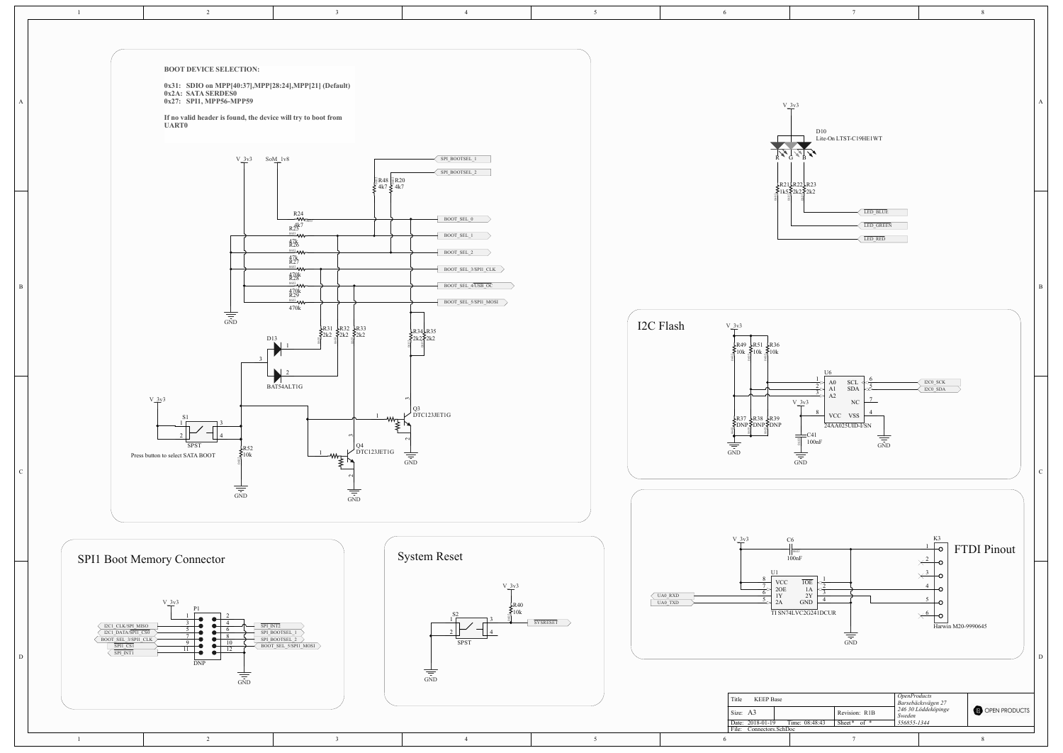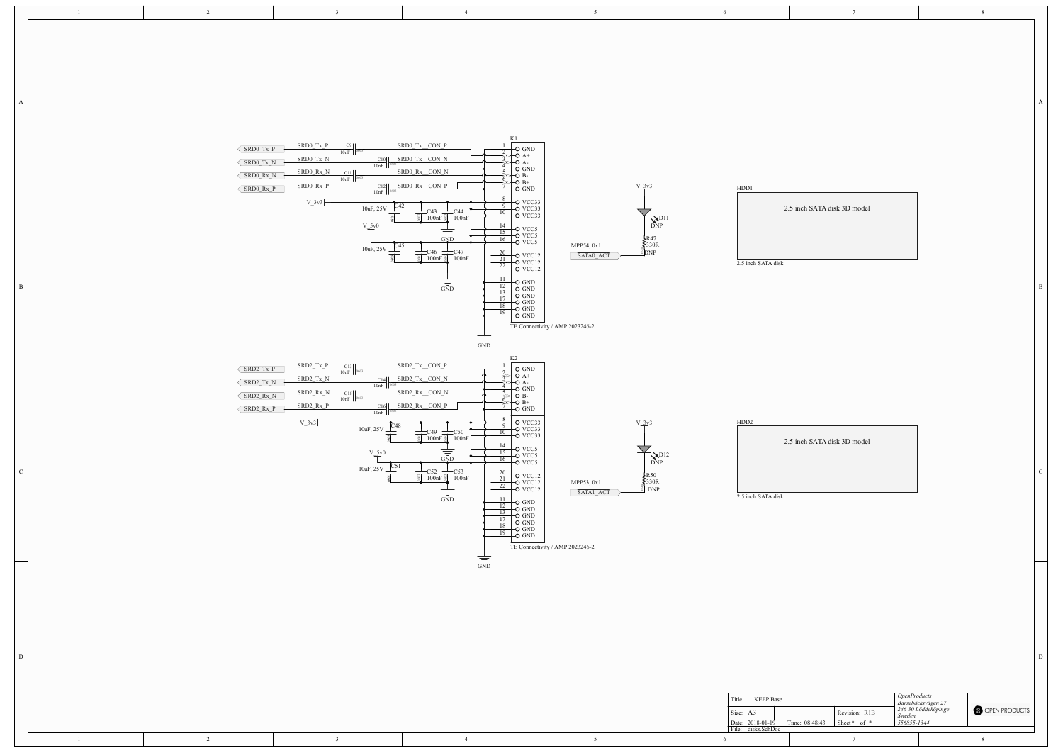|  |  | .<br>r. u |
|--|--|-----------|
|  |  |           |
|  |  |           |

|                | $\mathbf{1}$ | $\overline{2}$                                                                   | $\overline{\mathbf{3}}$                                                                                                                                                                                                                                         | $\overline{4}$                                                                                                                                                                                                                                                                                                                                                                                                                                                                                                                                                                                                                                                                                                                                                                                                                                                                                                                                                                                                                                                                                                                                                                                                                                                                                                                                                                                                                                                                                                       | 5 <sup>5</sup>                                                                                                                                                  | 6                                | $7\overline{ }$                                                                                                 | 8                                                                                                               |               |
|----------------|--------------|----------------------------------------------------------------------------------|-----------------------------------------------------------------------------------------------------------------------------------------------------------------------------------------------------------------------------------------------------------------|----------------------------------------------------------------------------------------------------------------------------------------------------------------------------------------------------------------------------------------------------------------------------------------------------------------------------------------------------------------------------------------------------------------------------------------------------------------------------------------------------------------------------------------------------------------------------------------------------------------------------------------------------------------------------------------------------------------------------------------------------------------------------------------------------------------------------------------------------------------------------------------------------------------------------------------------------------------------------------------------------------------------------------------------------------------------------------------------------------------------------------------------------------------------------------------------------------------------------------------------------------------------------------------------------------------------------------------------------------------------------------------------------------------------------------------------------------------------------------------------------------------------|-----------------------------------------------------------------------------------------------------------------------------------------------------------------|----------------------------------|-----------------------------------------------------------------------------------------------------------------|-----------------------------------------------------------------------------------------------------------------|---------------|
|                |              | $\sqrt{\text{SRD0 Tx P}}$<br>SRDO Tx N                                           | $SRD0 Tx P$ $C9$<br>10nF<br>SRD0 Tx N<br>SRD0 Rx N C11                                                                                                                                                                                                          | K1<br>SRD0 Tx CON P<br>$\overline{\phantom{1}}$ O GND<br>$\overline{\Leftrightarrow}$ o $A+$<br>$\frac{\text{C10}}{10 \text{nF}}\bigg  \frac{\text{SRD0 Tx} \quad \text{CON N}}{0003}$<br>$\frac{3}{4}$ O A-<br>-4 O GND<br>SRD0 Rx CON N                                                                                                                                                                                                                                                                                                                                                                                                                                                                                                                                                                                                                                                                                                                                                                                                                                                                                                                                                                                                                                                                                                                                                                                                                                                                            |                                                                                                                                                                 |                                  |                                                                                                                 |                                                                                                                 |               |
| $\overline{B}$ |              | $\diagup$ SRD0 Rx N<br>$\sqrt{\text{SRD0_Rx_P}}$                                 | 10nF<br>SRD0 Rx P<br>$V_3v3$<br>10uF, 25V $\frac{V}{v}$<br>$V_{y0}$<br>10uF, 25V $\underline{C}$ <sup>45</sup><br>$\overline{\phantom{a}}$                                                                                                                      | $\begin{array}{c c}\n5 & O GND \\ \hline\n6 & O B\n\end{array}$<br>$\begin{array}{c c}\n7 & O B\n\end{array}$<br>$\frac{C12}{10nF}$ $\left  \frac{\text{SRD0 Rx}}{0003} \right $ $\frac{C12}{10nF}$<br>$\begin{array}{c c}\n 8 & \text{o} & \text{VCC33} \\  \hline\n 9 & \text{o} & \text{VCC33} \\  \hline\n 10 & \text{o} & \text{VCC33}\n \end{array}$<br>$\frac{1}{3}$ C43<br>$\frac{1}{2}$ C44<br>100nF<br>$\frac{1}{3}$ 100nF<br>14<br>$\begin{array}{c c}\n\hline\n & 14 \\ \hline\n15 & 0 \text{ VCC5} \\ \hline\n\hline\n16 & 0 \text{ VCC5}\n\end{array}$<br>亭<br>GND<br>$\frac{\text{100}}{\text{g}}$ C46 $\frac{\text{100}}{\text{g}}$ C47<br>$\begin{array}{c c}\n 20 & O \text{ VCC12} \\  \hline\n 21 & O \text{ VCC12} \\  \hline\n 22 & O \text{ VCC12}\n\end{array}$<br>11<br>$\frac{1}{\sin D}$<br>$\mapsto$ GND<br>$\begin{array}{c c}\n 12 & \text{O} & \text{GND} \\  \hline\n 13 & \text{O} & \text{GND} \\  \hline\n 17 & \text{O} & \text{GND} \\  \hline\n 18 & \text{O} & \text{GND} \\  \hline\n 19 & \text{O} & \text{GND} \\  \end{array}$<br>$\frac{1}{\sqrt{2}}$                                                                                                                                                                                                                                                                                                                                                                                                                    | $V_3v3$<br>$\bigtriangledown$<br>$\sum_{\text{DNP}}$<br>$k$ R47<br>$\sum_{n=1}^{\infty}$ 330R<br>MPP54, 0x1<br>$SATA0$ $ACT$<br>TE Connectivity / AMP 2023246-2 | HDD1<br>2.5 inch SATA disk       | 2.5 inch SATA disk 3D model                                                                                     |                                                                                                                 |               |
|                | $\mathbf{C}$ | $\sqrt{\text{SRD2 Tx P}}$<br>SRD2 Tx N<br>SRD2 Rx N<br>$\sqrt{\text{SRD2}_Rx_P}$ | SRD2 Tx P $C13$<br>10nF<br>SRD2 Tx N<br>$\begin{array}{c c c c} \hline \text{SRD2 Rx} & \text{N} & \text{C15} \\ \hline \text{10nF} & \text{10nF} \end{array}$<br>SRD2 Rx P<br>$V_3v3$<br>10uF, 25V $\frac{C48}{C}$<br>$V_{\frac{5v0}{l}}$<br>10uF, $25V$ $C51$ | K2<br>SRD2 Tx CON P<br>$\frac{1}{2}$ O GND<br>$\frac{C14}{10nF}$ $\frac{SRD2}{9603}$ Tx CON N<br>$A^+$<br>$\overrightarrow{4}$<br>$\overrightarrow{4}$<br>$\overrightarrow{5}$<br>$\overrightarrow{6}$<br>$\overrightarrow{9}$<br>$\overrightarrow{1}$<br>$\overrightarrow{1}$<br>$\overrightarrow{1}$<br>$\overrightarrow{1}$<br>$\overrightarrow{1}$<br>$\overrightarrow{1}$<br>$\overrightarrow{1}$<br>$\overrightarrow{1}$<br>$\overrightarrow{1}$<br>$\overrightarrow{1}$<br>$\overrightarrow{1}$<br>$\overrightarrow{1}$<br>$\overrightarrow{1}$<br>$\overrightarrow{1}$<br>$\overrightarrow{1}$<br>$\overrightarrow{1}$<br>$\overrightarrow$<br>SRD2 Rx CON N<br>$\frac{\text{C16}}{\text{10nF}}\sqrt{\frac{\text{SRD2 Rx}}{6603}}$ CON P<br>$\frac{8}{9}$ O VCC33<br>10 O VCC33<br>10 O VCC33<br>$\frac{1}{\frac{5}{8}}$ C49 C50<br>$\begin{array}{c c}\n 14 & \text{O VCC5} \\  \hline\n 15 & \text{O VCC5} \\  \hline\n 16 & \text{O VCC5}\n \end{array}$<br>$\equiv$ GND<br>$\frac{\text{C52}}{\frac{6}{3} \cdot 100 \text{nF}} \frac{\text{C53}}{\frac{6}{3} \cdot 100 \text{nF}}$<br>$\begin{array}{c c}\n 20 & \multicolumn{1}{c }{\text{O VCC12}} \\  \hline\n 21 & \multicolumn{1}{c }{\text{O VCC12}} \\  \hline\n 22 & \multicolumn{1}{c }{\text{O VCC12}} \\  \hline\n \end{array}$<br>$\frac{1}{\sqrt{2}}$<br>$\begin{tabular}{c c} 11 & O GND \\ \hline 12 & O GND \\ \hline 13 & O GND \\ \hline 17 & O GND \\ \hline 18 & O GND \\ \hline 19 & O GND \\ \hline O GND \\ \hline \end{tabular}$ | $V_3v3$<br>$\sum_{\text{DNP}}$<br>R50<br>$\frac{2}{3}$ 330R<br>MPP53, 0x1<br>$\ensuremath{\mathrm{DNP}}$<br>SATA1 ACT<br>TE Connectivity / AMP 2023246-2        | HDD2<br>2.5 inch SATA disk       | 2.5 inch SATA disk 3D model                                                                                     |                                                                                                                 | $\mathcal{C}$ |
| $\Box$         | $\mathbf{1}$ | $\overline{2}$                                                                   | $\overline{\mathbf{3}}$                                                                                                                                                                                                                                         | $\frac{1}{\sqrt{2}}$<br>$\overline{4}$                                                                                                                                                                                                                                                                                                                                                                                                                                                                                                                                                                                                                                                                                                                                                                                                                                                                                                                                                                                                                                                                                                                                                                                                                                                                                                                                                                                                                                                                               | 5 <sup>5</sup>                                                                                                                                                  | Title KEEP Base<br>Size: A3<br>6 | Revision: R1B<br>Sweden<br>Date: 2018-01-19 Time: 08:48:43 Sheet* of *<br>File: disks.SchDoc<br>$7\overline{ }$ | OpenProducts<br>Barsebäcksvägen 27<br>246 30 Löddeköpinge<br><b>OPEN PRODUCTS</b><br>556855-1344<br>$\,$ 8 $\,$ | D             |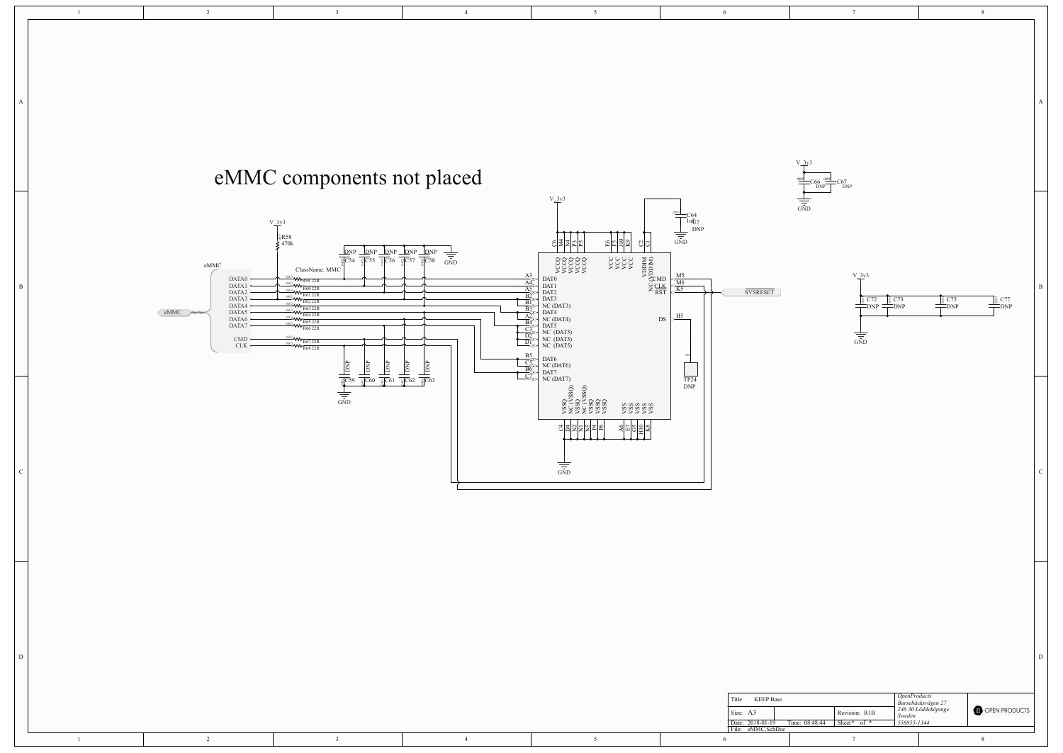

| A<br>$V_3v3$<br>0805<br>$EC66 \frac{0805}{DNP}$<br>$\frac{\text{C67}}{\text{DNP}}$<br>$V_3v3$<br>$\, {\bf B}$<br>$rac{C75}{E}$ DNP<br>$\frac{2}{5}$ C77<br>DNP<br>$\frac{C73}{DNP}$<br>$\frac{C72}{DNP}$<br>š<br>50<br>$\ddot{\text{GND}}$<br>$\mathbf C$<br>$\mathbf D$<br>OpenProducts<br>Barsebäcksvägen 27<br>246 30 Löddeköpinge<br>Sweden<br><b>ED</b> OPEN PRODUCTS<br>Revision: R1B<br>Sheet* of *<br>556855-1344 | $\boldsymbol{7}$ |  | $\,$ 8 $\,$ |  |
|---------------------------------------------------------------------------------------------------------------------------------------------------------------------------------------------------------------------------------------------------------------------------------------------------------------------------------------------------------------------------------------------------------------------------|------------------|--|-------------|--|
| $\operatorname{GND}$<br>e: 08:48:44                                                                                                                                                                                                                                                                                                                                                                                       |                  |  |             |  |
|                                                                                                                                                                                                                                                                                                                                                                                                                           |                  |  |             |  |
|                                                                                                                                                                                                                                                                                                                                                                                                                           |                  |  |             |  |
|                                                                                                                                                                                                                                                                                                                                                                                                                           |                  |  |             |  |
| $\boldsymbol{7}$<br>$\,$ 8 $\,$                                                                                                                                                                                                                                                                                                                                                                                           |                  |  |             |  |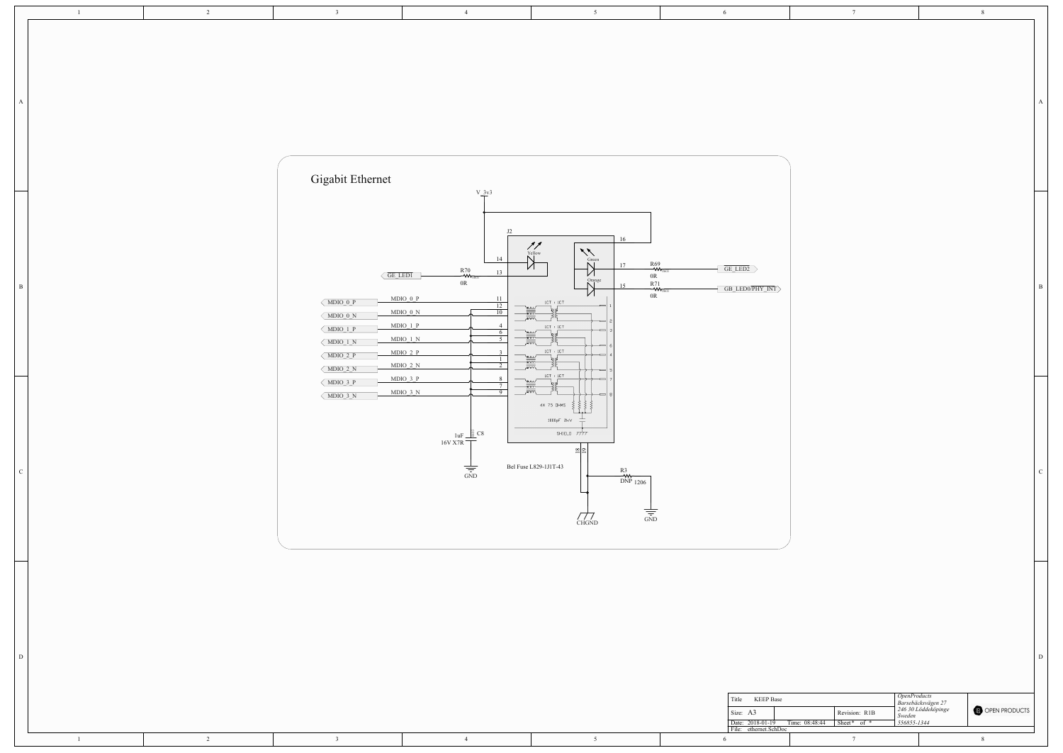|  |  | .<br>$\sim$ $\sim$<br>r 111 |
|--|--|-----------------------------|
|  |  |                             |
|  |  |                             |



|             | $\overline{2}$<br>$\mathbf{1}$              | $\overline{\mathbf{3}}$                                                                                                                                                               | $\overline{4}$                                                                                                                                                                                                                                                                      | 5 <sup>5</sup>                                                                                                                                                                                                                                                                                                                                                                                                                                                                                                                                                  |                                                                              | 6                                                                                 | $7\overline{ }$                               |                                                                                    | 8                                       |                |
|-------------|---------------------------------------------|---------------------------------------------------------------------------------------------------------------------------------------------------------------------------------------|-------------------------------------------------------------------------------------------------------------------------------------------------------------------------------------------------------------------------------------------------------------------------------------|-----------------------------------------------------------------------------------------------------------------------------------------------------------------------------------------------------------------------------------------------------------------------------------------------------------------------------------------------------------------------------------------------------------------------------------------------------------------------------------------------------------------------------------------------------------------|------------------------------------------------------------------------------|-----------------------------------------------------------------------------------|-----------------------------------------------|------------------------------------------------------------------------------------|-----------------------------------------|----------------|
| A           |                                             |                                                                                                                                                                                       |                                                                                                                                                                                                                                                                                     |                                                                                                                                                                                                                                                                                                                                                                                                                                                                                                                                                                 |                                                                              |                                                                                   |                                               |                                                                                    |                                         | A              |
| B           |                                             | Gigabit Ethernet<br>$\sqrt{GE$ LED1<br>$\sqrt{MDIO}$ 0 P<br>$\sqrt{MDIO}$ 0 N<br>$\triangle$ MDIO 1 P<br>$\triangle$ MDIO_1_N<br>$\sqrt{MDIO_2_P}$<br>$\sqrt{MDIO_2 N}$<br>(MDIO 3 P) | $V \rightarrow 3y3$<br>J2<br>$R_{\text{W}}$ <sub>0603</sub><br>13<br>0R<br>MDIO 0 P<br>11<br>12<br>讔<br>MDIO 0 N<br>10<br>MDIO 1 P<br>4<br>6<br>讔<br>MDIO 1 N<br>$\sim$<br>MDIO 2 P<br>$\overline{1}$<br>MDIO 2 N<br>$\overline{2}$<br>MDIO 3 P<br>$\frac{1}{2}$<br>$7\overline{ }$ | 16<br>$\overbrace{\phantom{a}}^{\phantom{a}}$<br>$\overbrace{\phantom{a}}^{\phantom{a}}$<br>$\begin{picture}(120,110) \put(0,0){\line(1,0){100}} \put(15,0){\line(1,0){100}} \put(15,0){\line(1,0){100}} \put(15,0){\line(1,0){100}} \put(15,0){\line(1,0){100}} \put(15,0){\line(1,0){100}} \put(15,0){\line(1,0){100}} \put(15,0){\line(1,0){100}} \put(15,0){\line(1,0){100}} \put(15,0){\line(1,0){100}} \put(15,0){\line(1,0){100$<br>17<br>$ICT + ICT$<br>থাই<br>$1CT + 1CT$<br>罪<br>1CT : 1CT<br><b>The Company of The Company</b><br>$1CT + 1CT$<br>315 | $R69$<br>$W_{\overline{060}}$<br>$0\mathrm{R}$<br>$R71$<br>$-W_{0603}$<br>0R | $-$ GE LED2 $>$<br>$-$ GB_LED0/PHY_INT $>$                                        |                                               |                                                                                    |                                         | - R            |
| $\mathbf C$ |                                             | $\binom{\text{MDIO} 3 N}{ }$                                                                                                                                                          | MDIO 3 N<br>9<br>$16V$ $X7R$ $\frac{10F}{16V}$ $\frac{10}{2}$ $C8$<br>$\frac{1}{\sqrt{2}}$                                                                                                                                                                                          | 4X 75 DHMS $\geq \geq \geq \geq \geq$<br>1000pF 2kV<br>SHIELD $7777$<br>$\mathbb{Z}[\mathbb{Z}]$<br>Bel Fuse L829-1J1T-43<br>$\frac{R3}{DNP}$ 1206<br>$\sqrt{\frac{7}{\text{CHGND}}}$                                                                                                                                                                                                                                                                                                                                                                           | $\frac{1}{\sqrt{2}}$                                                         |                                                                                   |                                               |                                                                                    |                                         | $\overline{C}$ |
| D           | $\overline{\mathbf{c}}$<br>$\left(1\right)$ | $\overline{\mathbf{3}}$                                                                                                                                                               | $4\overline{4}$                                                                                                                                                                                                                                                                     | 5 <sup>5</sup>                                                                                                                                                                                                                                                                                                                                                                                                                                                                                                                                                  |                                                                              | Title KEEP Base<br>Size: A3<br>Date: $2018-01-19$ Time: 08:48:44 Sheet* of *<br>6 | Revision: R1B<br>$7\phantom{.0}\phantom{.0}7$ | OpenProducts<br>Barsebäcksvägen 27<br>246 30 Löddeköpinge<br>Sweden<br>556855-1344 | <b>EX</b> OPEN PRODUCTS<br>$\mathbf{R}$ | $\mathbf{D}$   |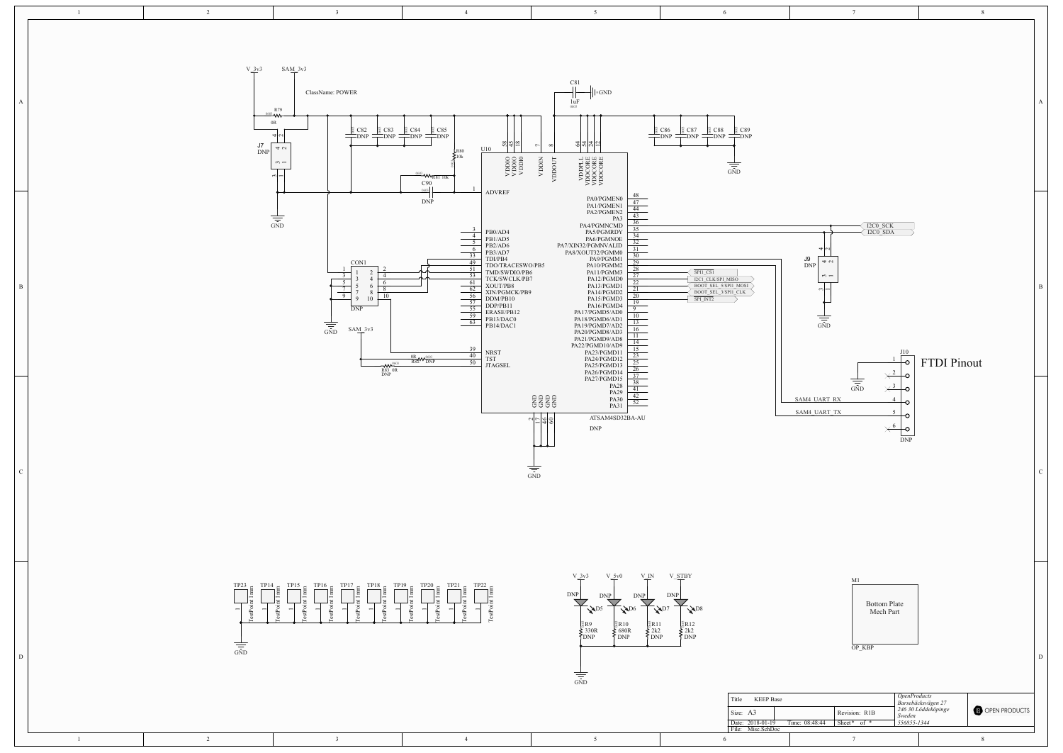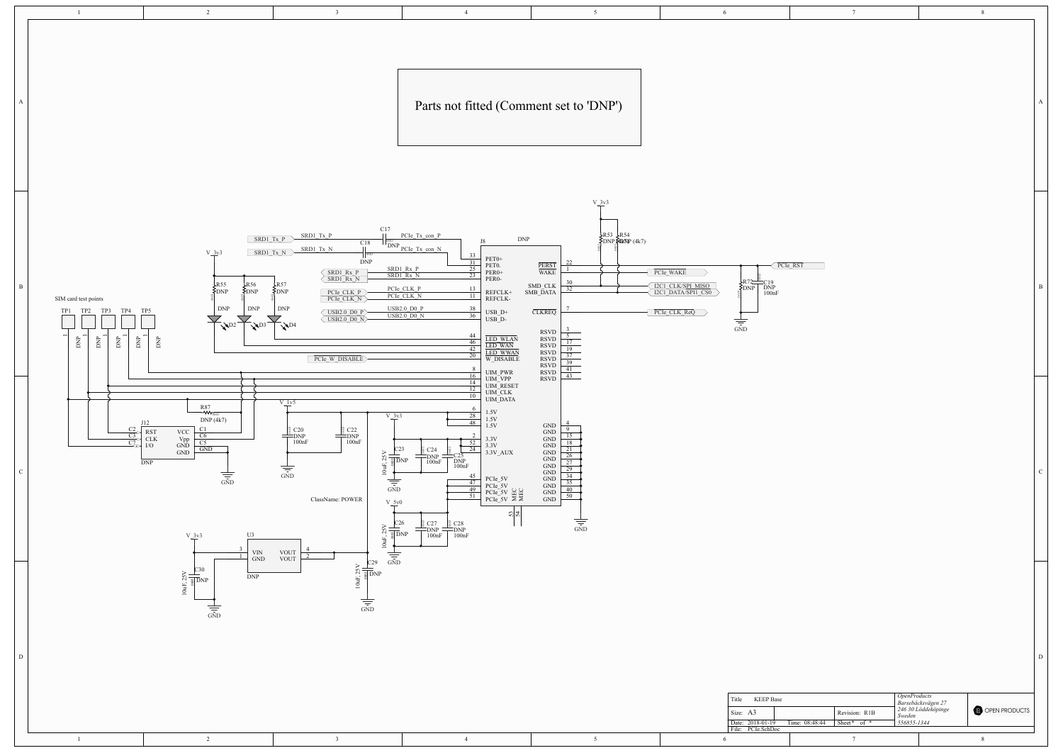|                                                                                                                                   |                | $\boldsymbol{7}$             |             |                                                                     | $\,$ 8 $\,$             |              |
|-----------------------------------------------------------------------------------------------------------------------------------|----------------|------------------------------|-------------|---------------------------------------------------------------------|-------------------------|--------------|
|                                                                                                                                   |                |                              |             |                                                                     |                         | A            |
| $\begin{array}{c}\n R72\n \\ \text{SNP}\n \\ \hline\n \\ \text{SNP}\n \end{array}$<br>C19<br>DNP<br>100nF<br>$\frac{1}{\sqrt{2}}$ | PCIe_RST       |                              |             |                                                                     |                         | $\, {\bf B}$ |
|                                                                                                                                   |                |                              |             |                                                                     |                         | $\mathbf C$  |
| Title<br>KEEP Base<br>Size: A3<br>Date: 2018-01-19<br>File: PCIe.SchDoc                                                           | Time: 08:48:44 | Revision: R1B<br>Sheet* of * | 556855-1344 | OpenProducts<br>Barsebäcksvägen 27<br>246 30 Löddeköpinge<br>Sweden | <b>EX</b> OPEN PRODUCTS | ${\rm D}$    |
|                                                                                                                                   |                | $\boldsymbol{7}$             |             |                                                                     | $\,$ 8 $\,$             |              |

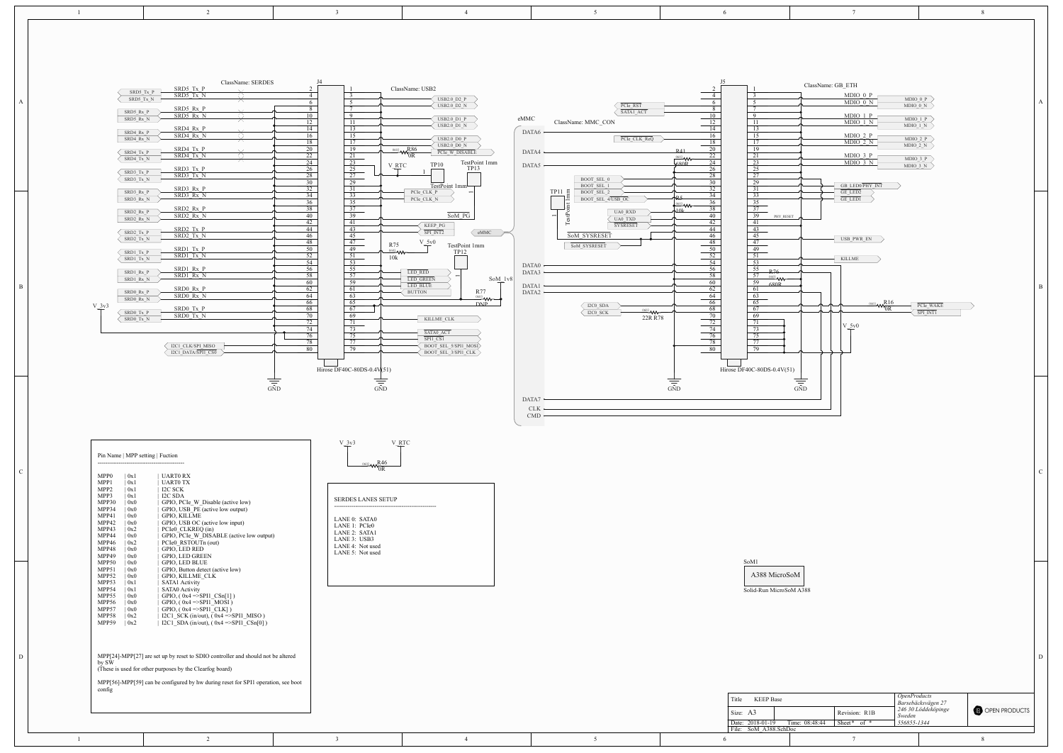

|                                                                                                                                                                                                                                                                                                         |                   | $\tau$                                                                                                          |                                                                                                              |                                           | $\,$ 8 $\,$          |             |
|---------------------------------------------------------------------------------------------------------------------------------------------------------------------------------------------------------------------------------------------------------------------------------------------------------|-------------------|-----------------------------------------------------------------------------------------------------------------|--------------------------------------------------------------------------------------------------------------|-------------------------------------------|----------------------|-------------|
| 1<br>3<br>5<br>$\overline{7}$<br>$\overline{9}$<br>11<br>13<br>15<br>17<br>19<br>21<br>23<br>25<br>27<br>29<br>$\frac{1}{31}$                                                                                                                                                                           | ClassName: GB_ETH | MDIO 0 P<br>MDIO 0 N<br>MDIO 1 P<br>MDIO 1 N<br>MDIO 2 P<br>MDIO 2 N<br>MDIO 3 P<br>MDIO 3 N<br>GB_LED0/PHY_INT | $MDIO_0_P$<br>$MDIO_0_N$<br>$MDIO_1_P$<br>$MDIO_1_N$<br>$MDIO_2_P$<br>$MDIO_2_N$<br>$MDIO_3_P$<br>$MDIO_3_N$ |                                           |                      | A           |
| $\overline{33}$<br>$\overline{35}$<br>37<br>39<br>PHY RESET<br>41<br>43<br>45<br>47<br>49<br>$\overline{51}$<br>53<br>$\overline{55}$<br>R <sub>76</sub><br>57<br>$0603$ W<br>59<br>680 <sub>R</sub><br>61<br>63<br>65<br>67<br>69<br>71<br>73<br>$\overline{75}$<br>77<br>79<br>se DF40C-80DS-0.4V(51) |                   | GE_LED2<br>GE_LED1<br>USB_PWR_EN<br><b>KILLME</b><br>R16<br>0603 A<br>0R<br>$V_5v0$                             |                                                                                                              | PCIe_WAKE<br>SPI_INT1                     |                      | B           |
|                                                                                                                                                                                                                                                                                                         | <b>GND</b>        |                                                                                                                 |                                                                                                              |                                           |                      | $\mathbf C$ |
| SoM1<br>A388 MicroSoM<br>Solid-Run MicroSoM A388<br>Title<br><b>KEEP</b> Base<br>Size: A3<br>Date: 2018-01-19                                                                                                                                                                                           | Time: 08:48:44    | Revision: R1B<br>Sheet* of *                                                                                    | <b>OpenProducts</b><br>Sweden<br>556855-1344                                                                 | Barsebäcksvägen 27<br>246 30 Löddeköpinge | <b>OPEN PRODUCTS</b> | ${\rm D}$   |
| File: SoM_A388.SchDoc                                                                                                                                                                                                                                                                                   |                   | $\boldsymbol{7}$                                                                                                |                                                                                                              |                                           | $\,8\,$              |             |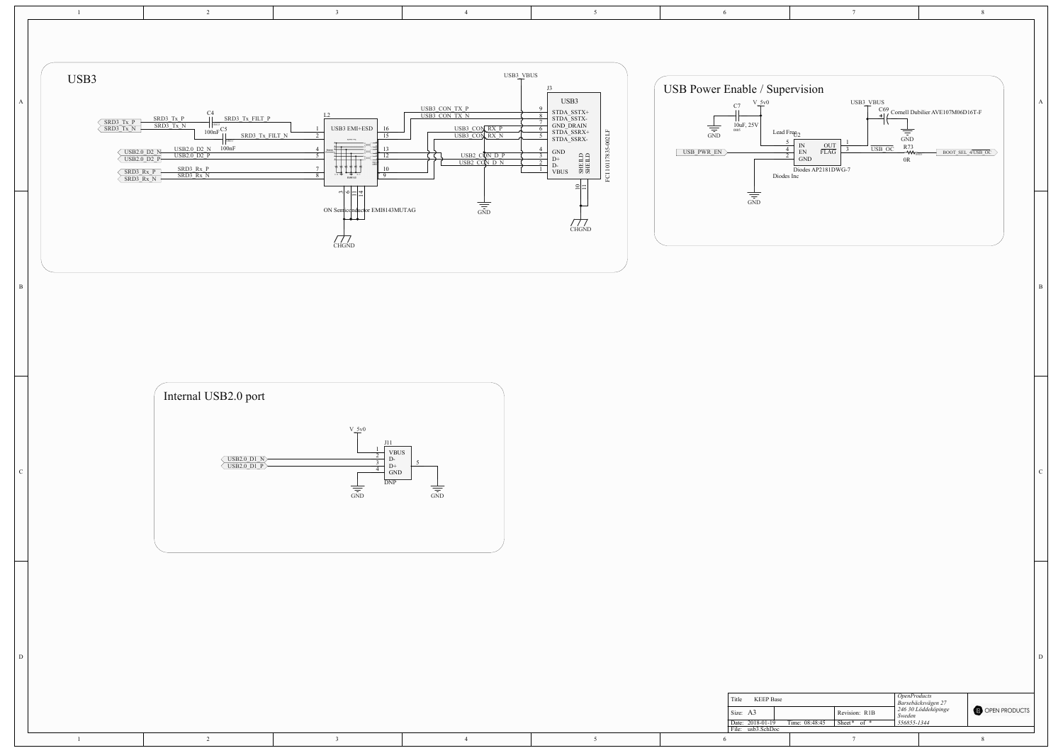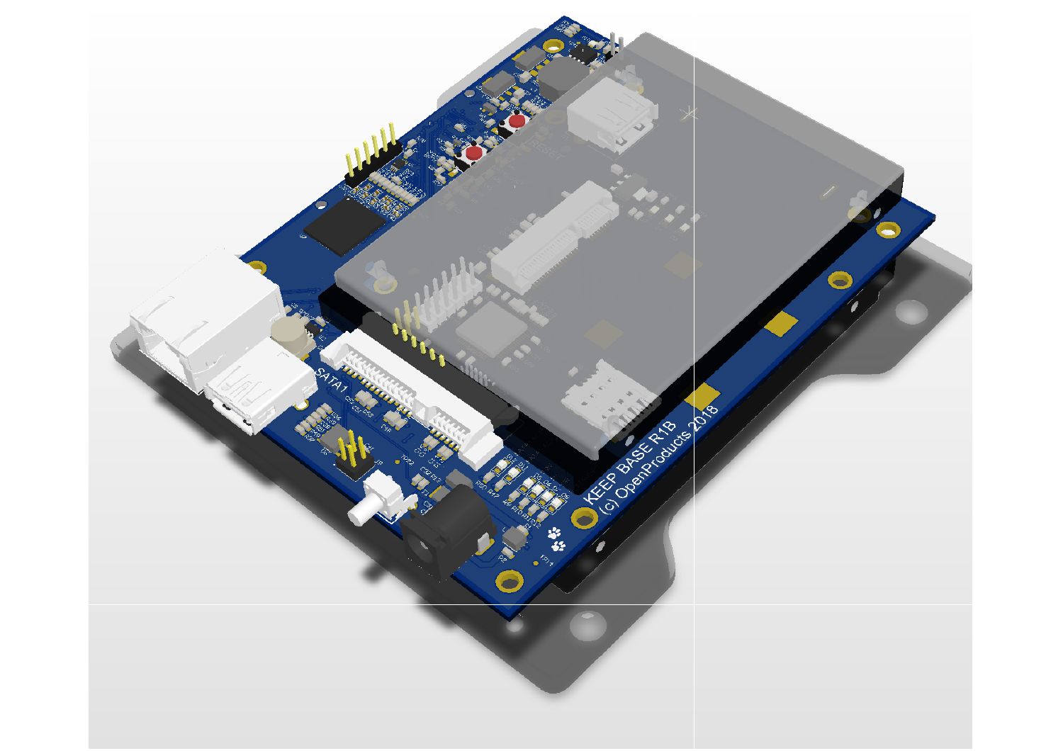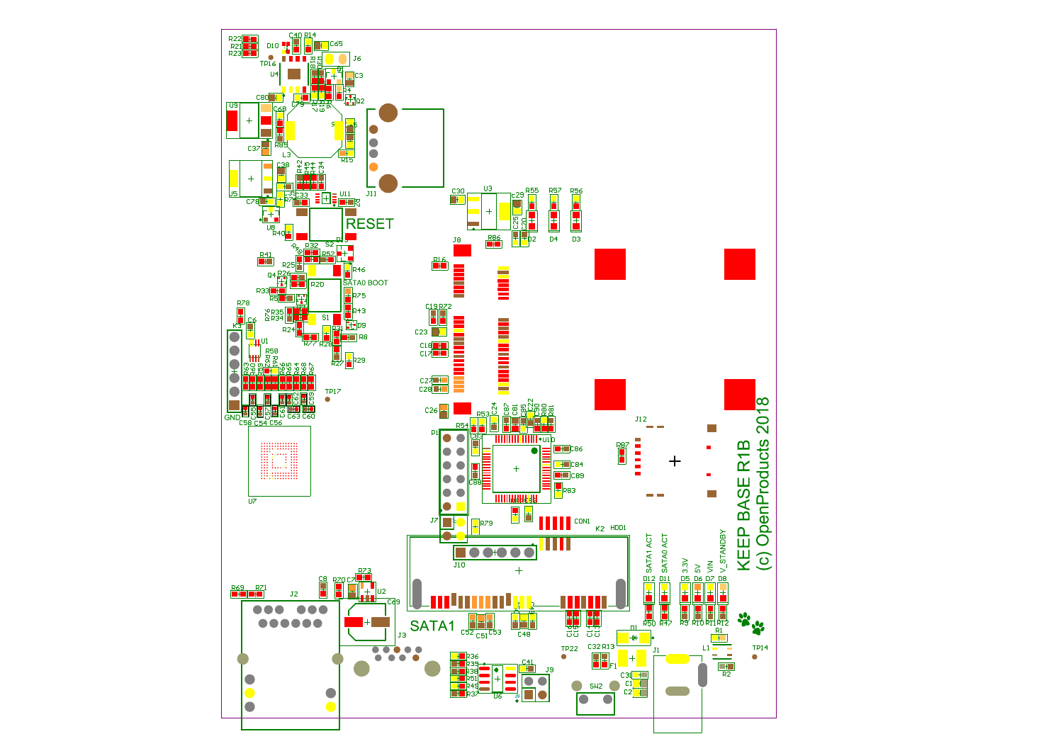